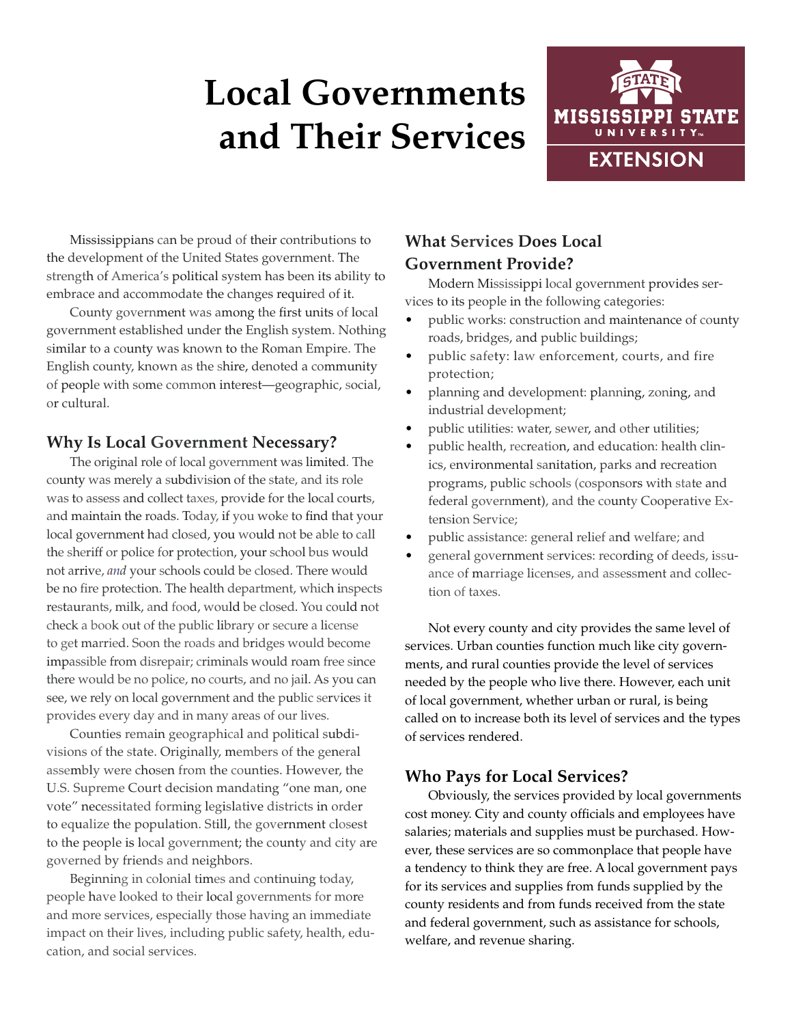# **Local Governments and Their Services**



Mississippians can be proud of their contributions to the development of the United States government. The strength of America's political system has been its ability to embrace and accommodate the changes required of it.

County government was among the first units of local government established under the English system. Nothing similar to a county was known to the Roman Empire. The English county, known as the shire, denoted a community of people with some common interest—geographic, social, or cultural.

### **Why Is Local Government Necessary?**

The original role of local government was limited. The county was merely a subdivision of the state, and its role was to assess and collect taxes, provide for the local courts, and maintain the roads. Today, if you woke to find that your local government had closed, you would not be able to call the sheriff or police for protection, your school bus would not arrive, *and* your schools could be closed. There would be no fire protection. The health department, which inspects restaurants, milk, and food, would be closed. You could not check a book out of the public library or secure a license to get married. Soon the roads and bridges would become impassible from disrepair; criminals would roam free since there would be no police, no courts, and no jail. As you can see, we rely on local government and the public services it provides every day and in many areas of our lives.

Counties remain geographical and political subdivisions of the state. Originally, members of the general assembly were chosen from the counties. However, the U.S. Supreme Court decision mandating "one man, one vote" necessitated forming legislative districts in order to equalize the population. Still, the government closest to the people is local government; the county and city are governed by friends and neighbors.

Beginning in colonial times and continuing today, people have looked to their local governments for more and more services, especially those having an immediate impact on their lives, including public safety, health, education, and social services.

## **What Services Does Local Government Provide?**

Modern Mississippi local government provides services to its people in the following categories:

- public works: construction and maintenance of county roads, bridges, and public buildings;
- public safety: law enforcement, courts, and fire protection;
- planning and development: planning, zoning, and industrial development;
- public utilities: water, sewer, and other utilities;
- public health, recreation, and education: health clinics, environmental sanitation, parks and recreation programs, public schools (cosponsors with state and federal government), and the county Cooperative Extension Service;
- public assistance: general relief and welfare; and
- general government services: recording of deeds, issuance of marriage licenses, and assessment and collection of taxes.

Not every county and city provides the same level of services. Urban counties function much like city governments, and rural counties provide the level of services needed by the people who live there. However, each unit of local government, whether urban or rural, is being called on to increase both its level of services and the types of services rendered.

## **Who Pays for Local Services?**

Obviously, the services provided by local governments cost money. City and county officials and employees have salaries; materials and supplies must be purchased. However, these services are so commonplace that people have a tendency to think they are free. A local government pays for its services and supplies from funds supplied by the county residents and from funds received from the state and federal government, such as assistance for schools, welfare, and revenue sharing.